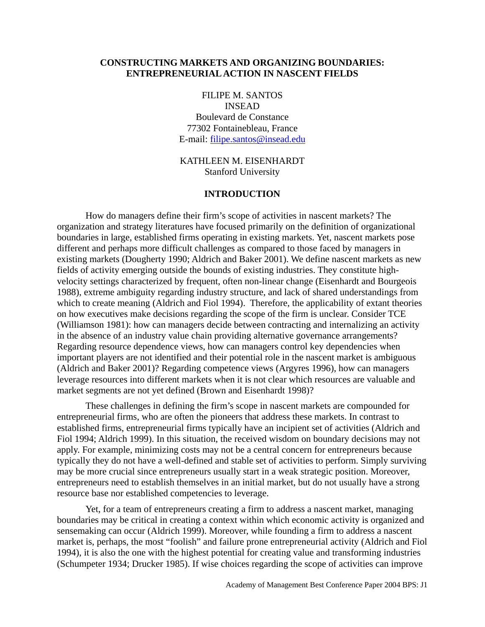## **CONSTRUCTING MARKETS AND ORGANIZING BOUNDARIES: ENTREPRENEURIAL ACTION IN NASCENT FIELDS**

FILIPE M. SANTOS INSEAD Boulevard de Constance 77302 Fontainebleau, France E-mail: [filipe.santos@insead.edu](mailto:filipe.santos@insead.edu)

# KATHLEEN M. EISENHARDT Stanford University

#### **INTRODUCTION**

How do managers define their firm's scope of activities in nascent markets? The organization and strategy literatures have focused primarily on the definition of organizational boundaries in large, established firms operating in existing markets. Yet, nascent markets pose different and perhaps more difficult challenges as compared to those faced by managers in existing markets (Dougherty 1990; Aldrich and Baker 2001). We define nascent markets as new fields of activity emerging outside the bounds of existing industries. They constitute highvelocity settings characterized by frequent, often non-linear change (Eisenhardt and Bourgeois 1988), extreme ambiguity regarding industry structure, and lack of shared understandings from which to create meaning (Aldrich and Fiol 1994). Therefore, the applicability of extant theories on how executives make decisions regarding the scope of the firm is unclear. Consider TCE (Williamson 1981): how can managers decide between contracting and internalizing an activity in the absence of an industry value chain providing alternative governance arrangements? Regarding resource dependence views, how can managers control key dependencies when important players are not identified and their potential role in the nascent market is ambiguous (Aldrich and Baker 2001)? Regarding competence views (Argyres 1996), how can managers leverage resources into different markets when it is not clear which resources are valuable and market segments are not yet defined (Brown and Eisenhardt 1998)?

These challenges in defining the firm's scope in nascent markets are compounded for entrepreneurial firms, who are often the pioneers that address these markets. In contrast to established firms, entrepreneurial firms typically have an incipient set of activities (Aldrich and Fiol 1994; Aldrich 1999). In this situation, the received wisdom on boundary decisions may not apply. For example, minimizing costs may not be a central concern for entrepreneurs because typically they do not have a well-defined and stable set of activities to perform. Simply surviving may be more crucial since entrepreneurs usually start in a weak strategic position. Moreover, entrepreneurs need to establish themselves in an initial market, but do not usually have a strong resource base nor established competencies to leverage.

Yet, for a team of entrepreneurs creating a firm to address a nascent market, managing boundaries may be critical in creating a context within which economic activity is organized and sensemaking can occur (Aldrich 1999). Moreover, while founding a firm to address a nascent market is, perhaps, the most "foolish" and failure prone entrepreneurial activity (Aldrich and Fiol 1994), it is also the one with the highest potential for creating value and transforming industries (Schumpeter 1934; Drucker 1985). If wise choices regarding the scope of activities can improve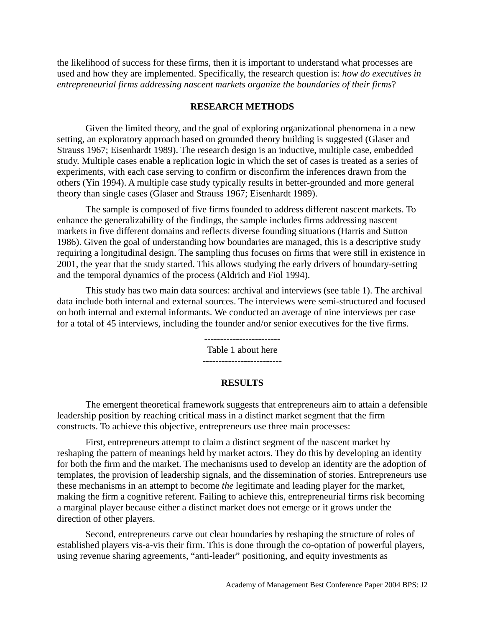the likelihood of success for these firms, then it is important to understand what processes are used and how they are implemented. Specifically, the research question is: *how do executives in entrepreneurial firms addressing nascent markets organize the boundaries of their firms*?

### **RESEARCH METHODS**

Given the limited theory, and the goal of exploring organizational phenomena in a new setting, an exploratory approach based on grounded theory building is suggested (Glaser and Strauss 1967; Eisenhardt 1989). The research design is an inductive, multiple case, embedded study. Multiple cases enable a replication logic in which the set of cases is treated as a series of experiments, with each case serving to confirm or disconfirm the inferences drawn from the others (Yin 1994). A multiple case study typically results in better-grounded and more general theory than single cases (Glaser and Strauss 1967; Eisenhardt 1989).

The sample is composed of five firms founded to address different nascent markets. To enhance the generalizability of the findings, the sample includes firms addressing nascent markets in five different domains and reflects diverse founding situations (Harris and Sutton 1986). Given the goal of understanding how boundaries are managed, this is a descriptive study requiring a longitudinal design. The sampling thus focuses on firms that were still in existence in 2001, the year that the study started. This allows studying the early drivers of boundary-setting and the temporal dynamics of the process (Aldrich and Fiol 1994).

This study has two main data sources: archival and interviews (see table 1). The archival data include both internal and external sources. The interviews were semi-structured and focused on both internal and external informants. We conducted an average of nine interviews per case for a total of 45 interviews, including the founder and/or senior executives for the five firms.

> ------------------------ Table 1 about here -------------------------

#### **RESULTS**

The emergent theoretical framework suggests that entrepreneurs aim to attain a defensible leadership position by reaching critical mass in a distinct market segment that the firm constructs. To achieve this objective, entrepreneurs use three main processes:

First, entrepreneurs attempt to claim a distinct segment of the nascent market by reshaping the pattern of meanings held by market actors. They do this by developing an identity for both the firm and the market. The mechanisms used to develop an identity are the adoption of templates, the provision of leadership signals, and the dissemination of stories. Entrepreneurs use these mechanisms in an attempt to become *the* legitimate and leading player for the market, making the firm a cognitive referent. Failing to achieve this, entrepreneurial firms risk becoming a marginal player because either a distinct market does not emerge or it grows under the direction of other players.

Second, entrepreneurs carve out clear boundaries by reshaping the structure of roles of established players vis-a-vis their firm. This is done through the co-optation of powerful players, using revenue sharing agreements, "anti-leader" positioning, and equity investments as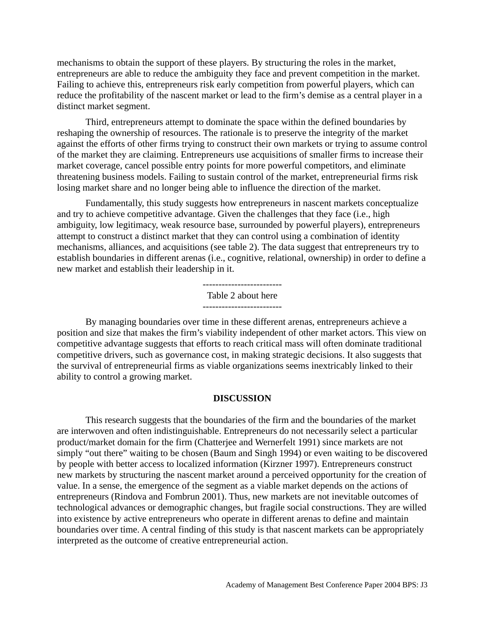mechanisms to obtain the support of these players. By structuring the roles in the market, entrepreneurs are able to reduce the ambiguity they face and prevent competition in the market. Failing to achieve this, entrepreneurs risk early competition from powerful players, which can reduce the profitability of the nascent market or lead to the firm's demise as a central player in a distinct market segment.

Third, entrepreneurs attempt to dominate the space within the defined boundaries by reshaping the ownership of resources. The rationale is to preserve the integrity of the market against the efforts of other firms trying to construct their own markets or trying to assume control of the market they are claiming. Entrepreneurs use acquisitions of smaller firms to increase their market coverage, cancel possible entry points for more powerful competitors, and eliminate threatening business models. Failing to sustain control of the market, entrepreneurial firms risk losing market share and no longer being able to influence the direction of the market.

Fundamentally, this study suggests how entrepreneurs in nascent markets conceptualize and try to achieve competitive advantage. Given the challenges that they face (i.e., high ambiguity, low legitimacy, weak resource base, surrounded by powerful players), entrepreneurs attempt to construct a distinct market that they can control using a combination of identity mechanisms, alliances, and acquisitions (see table 2). The data suggest that entrepreneurs try to establish boundaries in different arenas (i.e., cognitive, relational, ownership) in order to define a new market and establish their leadership in it.

Table 2 about here

By managing boundaries over time in these different arenas, entrepreneurs achieve a position and size that makes the firm's viability independent of other market actors. This view on competitive advantage suggests that efforts to reach critical mass will often dominate traditional competitive drivers, such as governance cost, in making strategic decisions. It also suggests that the survival of entrepreneurial firms as viable organizations seems inextricably linked to their ability to control a growing market.

### **DISCUSSION**

This research suggests that the boundaries of the firm and the boundaries of the market are interwoven and often indistinguishable. Entrepreneurs do not necessarily select a particular product/market domain for the firm (Chatterjee and Wernerfelt 1991) since markets are not simply "out there" waiting to be chosen (Baum and Singh 1994) or even waiting to be discovered by people with better access to localized information (Kirzner 1997). Entrepreneurs construct new markets by structuring the nascent market around a perceived opportunity for the creation of value. In a sense, the emergence of the segment as a viable market depends on the actions of entrepreneurs (Rindova and Fombrun 2001). Thus, new markets are not inevitable outcomes of technological advances or demographic changes, but fragile social constructions. They are willed into existence by active entrepreneurs who operate in different arenas to define and maintain boundaries over time. A central finding of this study is that nascent markets can be appropriately interpreted as the outcome of creative entrepreneurial action.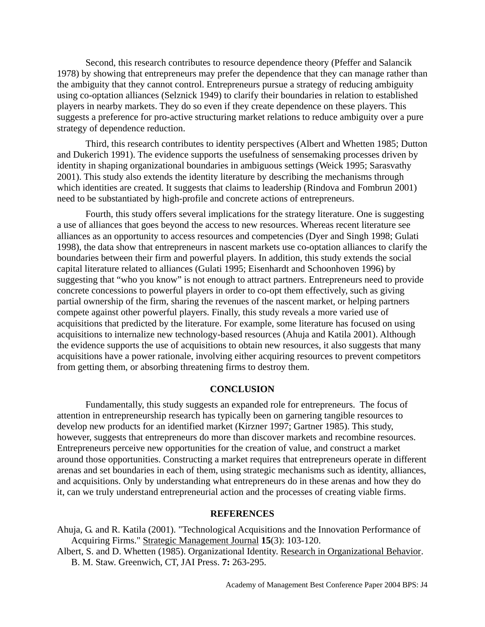Second, this research contributes to resource dependence theory (Pfeffer and Salancik 1978) by showing that entrepreneurs may prefer the dependence that they can manage rather than the ambiguity that they cannot control. Entrepreneurs pursue a strategy of reducing ambiguity using co-optation alliances (Selznick 1949) to clarify their boundaries in relation to established players in nearby markets. They do so even if they create dependence on these players. This suggests a preference for pro-active structuring market relations to reduce ambiguity over a pure strategy of dependence reduction.

Third, this research contributes to identity perspectives (Albert and Whetten 1985; Dutton and Dukerich 1991). The evidence supports the usefulness of sensemaking processes driven by identity in shaping organizational boundaries in ambiguous settings (Weick 1995; Sarasvathy 2001). This study also extends the identity literature by describing the mechanisms through which identities are created. It suggests that claims to leadership (Rindova and Fombrun 2001) need to be substantiated by high-profile and concrete actions of entrepreneurs.

Fourth, this study offers several implications for the strategy literature. One is suggesting a use of alliances that goes beyond the access to new resources. Whereas recent literature see alliances as an opportunity to access resources and competencies (Dyer and Singh 1998; Gulati 1998), the data show that entrepreneurs in nascent markets use co-optation alliances to clarify the boundaries between their firm and powerful players. In addition, this study extends the social capital literature related to alliances (Gulati 1995; Eisenhardt and Schoonhoven 1996) by suggesting that "who you know" is not enough to attract partners. Entrepreneurs need to provide concrete concessions to powerful players in order to co-opt them effectively, such as giving partial ownership of the firm, sharing the revenues of the nascent market, or helping partners compete against other powerful players. Finally, this study reveals a more varied use of acquisitions that predicted by the literature. For example, some literature has focused on using acquisitions to internalize new technology-based resources (Ahuja and Katila 2001). Although the evidence supports the use of acquisitions to obtain new resources, it also suggests that many acquisitions have a power rationale, involving either acquiring resources to prevent competitors from getting them, or absorbing threatening firms to destroy them.

#### **CONCLUSION**

Fundamentally, this study suggests an expanded role for entrepreneurs. The focus of attention in entrepreneurship research has typically been on garnering tangible resources to develop new products for an identified market (Kirzner 1997; Gartner 1985). This study, however, suggests that entrepreneurs do more than discover markets and recombine resources. Entrepreneurs perceive new opportunities for the creation of value, and construct a market around those opportunities. Constructing a market requires that entrepreneurs operate in different arenas and set boundaries in each of them, using strategic mechanisms such as identity, alliances, and acquisitions. Only by understanding what entrepreneurs do in these arenas and how they do it, can we truly understand entrepreneurial action and the processes of creating viable firms.

# **REFERENCES**

- Ahuja, G. and R. Katila (2001). "Technological Acquisitions and the Innovation Performance of Acquiring Firms." Strategic Management Journal **15**(3): 103-120.
- Albert, S. and D. Whetten (1985). Organizational Identity. Research in Organizational Behavior. B. M. Staw. Greenwich, CT, JAI Press. **7:** 263-295.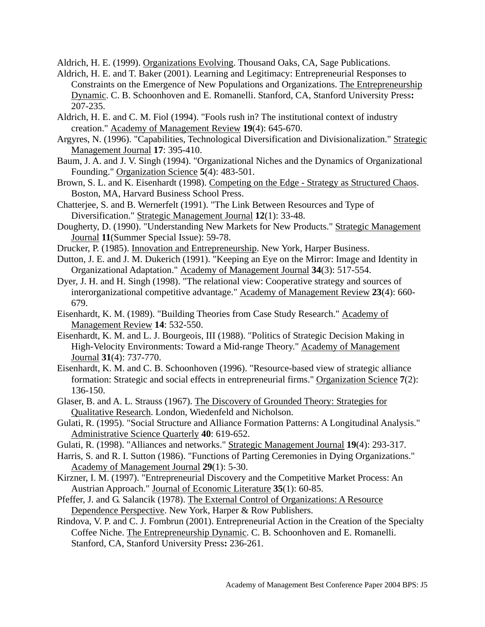Aldrich, H. E. (1999). Organizations Evolving. Thousand Oaks, CA, Sage Publications.

- Aldrich, H. E. and T. Baker (2001). Learning and Legitimacy: Entrepreneurial Responses to Constraints on the Emergence of New Populations and Organizations. The Entrepreneurship Dynamic. C. B. Schoonhoven and E. Romanelli. Stanford, CA, Stanford University Press**:**  207-235.
- Aldrich, H. E. and C. M. Fiol (1994). "Fools rush in? The institutional context of industry creation." Academy of Management Review **19**(4): 645-670.
- Argyres, N. (1996). "Capabilities, Technological Diversification and Divisionalization." Strategic Management Journal **17**: 395-410.
- Baum, J. A. and J. V. Singh (1994). "Organizational Niches and the Dynamics of Organizational Founding." Organization Science **5**(4): 483-501.
- Brown, S. L. and K. Eisenhardt (1998). Competing on the Edge Strategy as Structured Chaos. Boston, MA, Harvard Business School Press.
- Chatterjee, S. and B. Wernerfelt (1991). "The Link Between Resources and Type of Diversification." Strategic Management Journal **12**(1): 33-48.
- Dougherty, D. (1990). "Understanding New Markets for New Products." Strategic Management Journal **11**(Summer Special Issue): 59-78.
- Drucker, P. (1985). Innovation and Entrepreneurship. New York, Harper Business.
- Dutton, J. E. and J. M. Dukerich (1991). "Keeping an Eye on the Mirror: Image and Identity in Organizational Adaptation." Academy of Management Journal **34**(3): 517-554.
- Dyer, J. H. and H. Singh (1998). "The relational view: Cooperative strategy and sources of interorganizational competitive advantage." Academy of Management Review **23**(4): 660- 679.
- Eisenhardt, K. M. (1989). "Building Theories from Case Study Research." Academy of Management Review **14**: 532-550.
- Eisenhardt, K. M. and L. J. Bourgeois, III (1988). "Politics of Strategic Decision Making in High-Velocity Environments: Toward a Mid-range Theory." Academy of Management Journal **31**(4): 737-770.
- Eisenhardt, K. M. and C. B. Schoonhoven (1996). "Resource-based view of strategic alliance formation: Strategic and social effects in entrepreneurial firms." Organization Science **7**(2): 136-150.
- Glaser, B. and A. L. Strauss (1967). The Discovery of Grounded Theory: Strategies for Qualitative Research. London, Wiedenfeld and Nicholson.
- Gulati, R. (1995). "Social Structure and Alliance Formation Patterns: A Longitudinal Analysis." Administrative Science Quarterly **40**: 619-652.
- Gulati, R. (1998). "Alliances and networks." Strategic Management Journal **19**(4): 293-317.
- Harris, S. and R. I. Sutton (1986). "Functions of Parting Ceremonies in Dying Organizations." Academy of Management Journal **29**(1): 5-30.
- Kirzner, I. M. (1997). "Entrepreneurial Discovery and the Competitive Market Process: An Austrian Approach." Journal of Economic Literature **35**(1): 60-85.
- Pfeffer, J. and G. Salancik (1978). The External Control of Organizations: A Resource Dependence Perspective. New York, Harper & Row Publishers.
- Rindova, V. P. and C. J. Fombrun (2001). Entrepreneurial Action in the Creation of the Specialty Coffee Niche. The Entrepreneurship Dynamic. C. B. Schoonhoven and E. Romanelli. Stanford, CA, Stanford University Press**:** 236-261.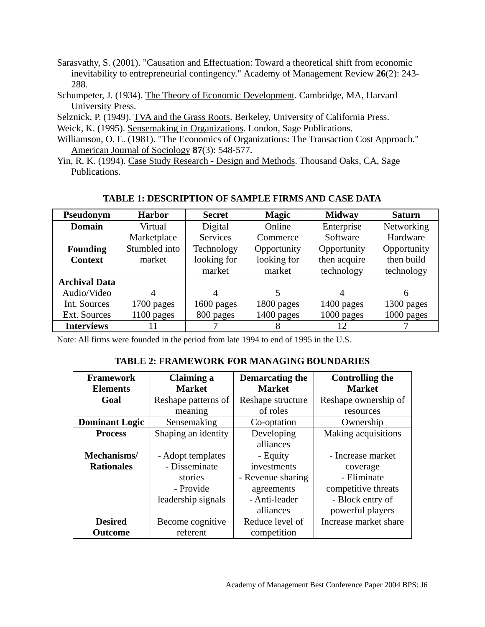- Sarasvathy, S. (2001). "Causation and Effectuation: Toward a theoretical shift from economic inevitability to entrepreneurial contingency." Academy of Management Review **26**(2): 243- 288.
- Schumpeter, J. (1934). The Theory of Economic Development. Cambridge, MA, Harvard University Press.
- Selznick, P. (1949). TVA and the Grass Roots. Berkeley, University of California Press.
- Weick, K. (1995). Sensemaking in Organizations. London, Sage Publications.
- Williamson, O. E. (1981). "The Economics of Organizations: The Transaction Cost Approach." American Journal of Sociology **87**(3): 548-577.
- Yin, R. K. (1994). Case Study Research Design and Methods. Thousand Oaks, CA, Sage Publications.

| Pseudonym            | <b>Harbor</b> | <b>Secret</b> | <b>Magic</b> | <b>Midway</b> | <b>Saturn</b> |
|----------------------|---------------|---------------|--------------|---------------|---------------|
| Domain               | Virtual       | Digital       | Online       | Enterprise    | Networking    |
|                      | Marketplace   | Services      | Commerce     | Software      | Hardware      |
| <b>Founding</b>      | Stumbled into | Technology    | Opportunity  | Opportunity   | Opportunity   |
| <b>Context</b>       | market        | looking for   | looking for  | then acquire  | then build    |
|                      |               | market        | market       | technology    | technology    |
| <b>Archival Data</b> |               |               |              |               |               |
| Audio/Video          | 4             | 4             |              |               | 6             |
| Int. Sources         | 1700 pages    | 1600 pages    | 1800 pages   | 1400 pages    | 1300 pages    |
| Ext. Sources         | 1100 pages    | 800 pages     | 1400 pages   | 1000 pages    | 1000 pages    |
| <b>Interviews</b>    | 11            |               |              | 12            |               |

# **TABLE 1: DESCRIPTION OF SAMPLE FIRMS AND CASE DATA**

Note: All firms were founded in the period from late 1994 to end of 1995 in the U.S.

# **TABLE 2: FRAMEWORK FOR MANAGING BOUNDARIES**

| <b>Framework</b>                 | Claiming a          | Demarcating the   | <b>Controlling the</b> |  |
|----------------------------------|---------------------|-------------------|------------------------|--|
| <b>Market</b><br><b>Elements</b> |                     | <b>Market</b>     | <b>Market</b>          |  |
| Goal                             | Reshape patterns of | Reshape structure | Reshape ownership of   |  |
|                                  | meaning             | of roles          | resources              |  |
| <b>Dominant Logic</b>            | Sensemaking         | Co-optation       | Ownership              |  |
| <b>Process</b>                   | Shaping an identity | Developing        | Making acquisitions    |  |
|                                  |                     | alliances         |                        |  |
| Mechanisms/                      | - Adopt templates   | - Equity          | - Increase market      |  |
| <b>Rationales</b>                | - Disseminate       | investments       | coverage               |  |
|                                  | stories             | - Revenue sharing | - Eliminate            |  |
|                                  | - Provide           | agreements        | competitive threats    |  |
|                                  | leadership signals  | - Anti-leader     | - Block entry of       |  |
|                                  |                     | alliances         | powerful players       |  |
| <b>Desired</b>                   | Become cognitive    | Reduce level of   | Increase market share  |  |
| <b>Outcome</b>                   | referent            | competition       |                        |  |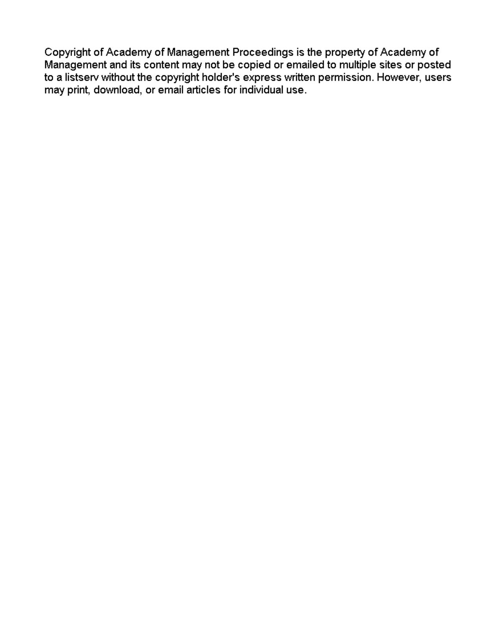Copyright of Academy of Management Proceedings is the property of Academy of Management and its content may not be copied or emailed to multiple sites or posted to a listserv without the copyright holder's express written permission. However, users may print, download, or email articles for individual use.